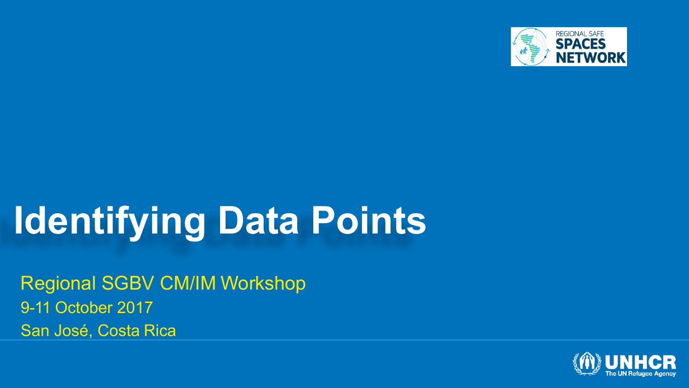

### **Identifying Data Points**

Regional SGBV CM/IM Workshop 9-11 October 2017 San José, Costa Rica

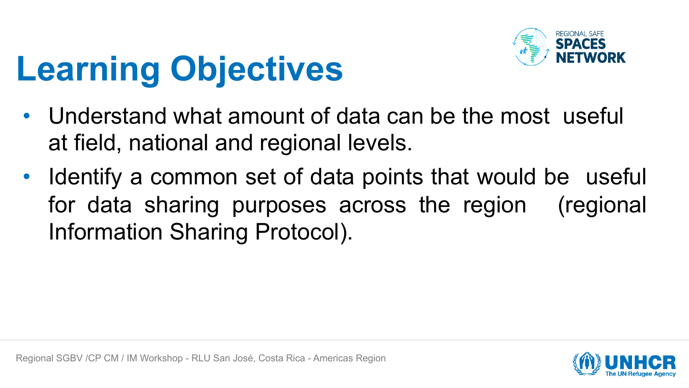

# **Learning Objectives**

- Understand what amount of data can be the most useful at field, national and regional levels.
- Identify a common set of data points that would be useful for data sharing purposes across the region (regional Information Sharing Protocol).

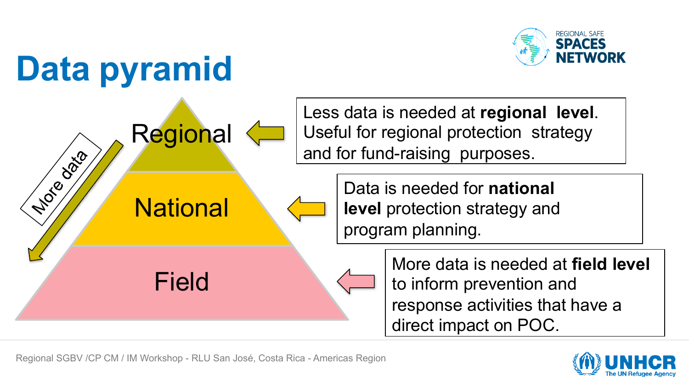

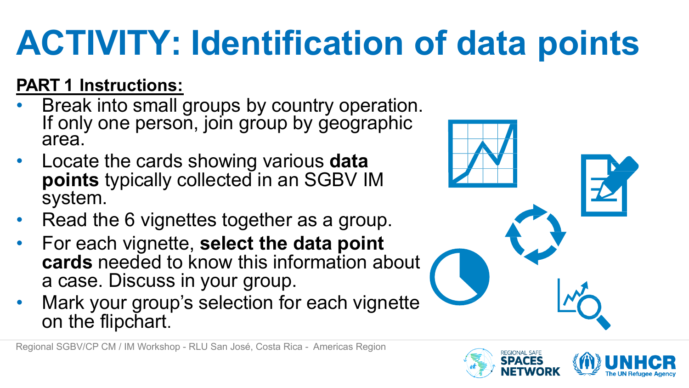# **ACTIVITY: Identification of data points**

#### **PART 1 Instructions:**

- Break into small groups by country operation.<br>If only one person, join group by geographic area.
- Locate the cards showing various **data points** typically collected in an SGBV IM system.
- Read the 6 vignettes together as a group.
- For each vignette, **select the data point cards** needed to know this information about a case. Discuss in your group.
- Mark your group's selection for each vignette on the flipchart.



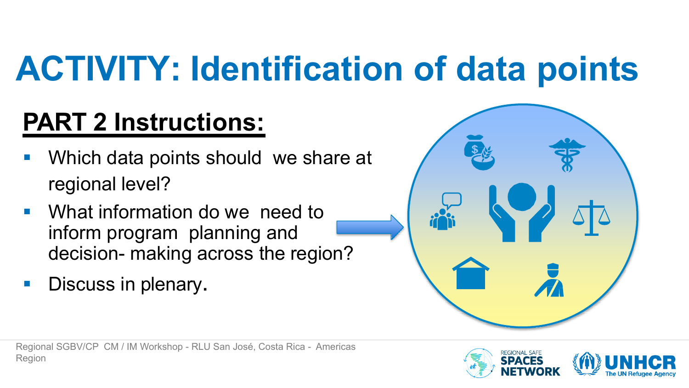# **ACTIVITY: Identification of data points**

### **PART 2 Instructions:**

- Which data points should we share at regional level?
- What information do we need to inform program planning and decision- making across the region?
- **Discuss in plenary.**